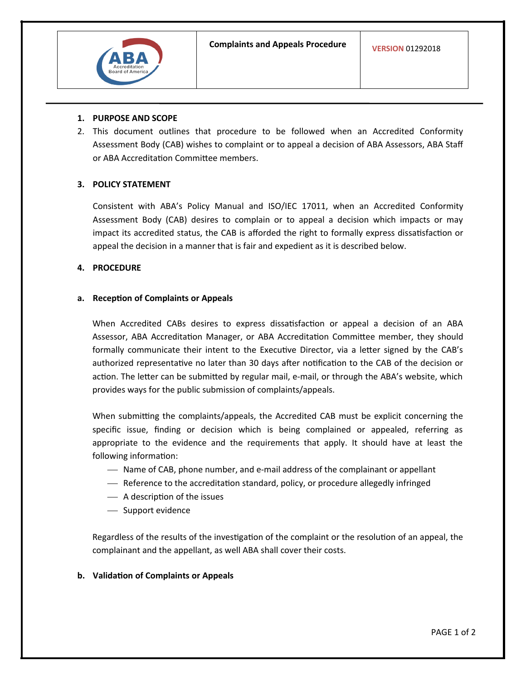

#### **1. PURPOSE AND SCOPE**

2. This document outlines that procedure to be followed when an Accredited Conformity Assessment Body (CAB) wishes to complaint or to appeal a decision of ABA Assessors, ABA Staff or ABA Accreditation Committee members.

## **3. POLICY STATEMENT**

Consistent with ABA's Policy Manual and ISO/IEC 17011, when an Accredited Conformity Assessment Body (CAB) desires to complain or to appeal a decision which impacts or may impact its accredited status, the CAB is afforded the right to formally express dissatisfaction or appeal the decision in a manner that is fair and expedient as it is described below.

## **4. PROCEDURE**

#### **a. Reception of Complaints or Appeals**

When Accredited CABs desires to express dissatisfaction or appeal a decision of an ABA Assessor, ABA Accreditation Manager, or ABA Accreditation Committee member, they should formally communicate their intent to the Executive Director, via a letter signed by the CAB's authorized representative no later than 30 days after notification to the CAB of the decision or action. The letter can be submitted by regular mail, e-mail, or through the ABA's website, which provides ways for the public submission of complaints/appeals.

When submitting the complaints/appeals, the Accredited CAB must be explicit concerning the specific issue, finding or decision which is being complained or appealed, referring as appropriate to the evidence and the requirements that apply. It should have at least the following information:

- Name of CAB, phone number, and e-mail address of the complainant or appellant
- Reference to the accreditation standard, policy, or procedure allegedly infringed
- A description of the issues
- Support evidence

Regardless of the results of the investigation of the complaint or the resolution of an appeal, the complainant and the appellant, as well ABA shall cover their costs.

**b. Validation of Complaints or Appeals**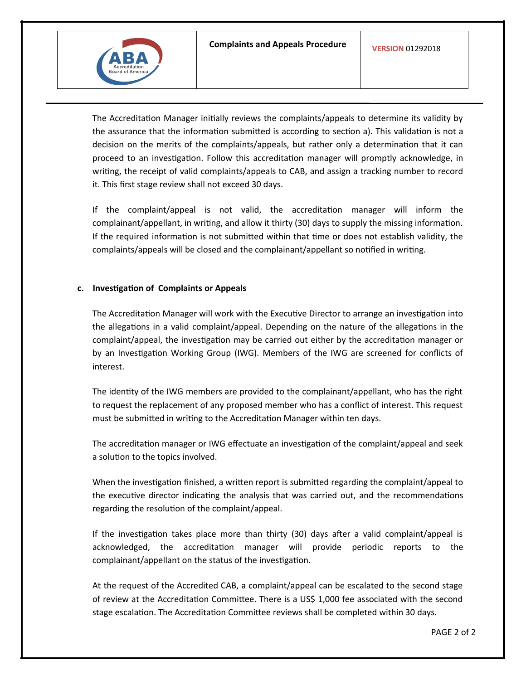

The Accreditation Manager initially reviews the complaints/appeals to determine its validity by the assurance that the information submitted is according to section a). This validation is not a decision on the merits of the complaints/appeals, but rather only a determination that it can proceed to an investigation. Follow this accreditation manager will promptly acknowledge, in writing, the receipt of valid complaints/appeals to CAB, and assign a tracking number to record it. This first stage review shall not exceed 30 days.

If the complaint/appeal is not valid, the accreditation manager will inform the complainant/appellant, in writing, and allow it thirty (30) days to supply the missing information. If the required information is not submitted within that time or does not establish validity, the complaints/appeals will be closed and the complainant/appellant so notified in writing.

## **c. Investigation of Complaints or Appeals**

The Accreditation Manager will work with the Executive Director to arrange an investigation into the allegations in a valid complaint/appeal. Depending on the nature of the allegations in the complaint/appeal, the investigation may be carried out either by the accreditation manager or by an Investigation Working Group (IWG). Members of the IWG are screened for conflicts of interest.

The identity of the IWG members are provided to the complainant/appellant, who has the right to request the replacement of any proposed member who has a conflict of interest. This request must be submitted in writing to the Accreditation Manager within ten days.

The accreditation manager or IWG effectuate an investigation of the complaint/appeal and seek a solution to the topics involved.

When the investigation finished, a written report is submitted regarding the complaint/appeal to the executive director indicating the analysis that was carried out, and the recommendations regarding the resolution of the complaint/appeal.

If the investigation takes place more than thirty (30) days after a valid complaint/appeal is acknowledged, the accreditation manager will provide periodic reports to the complainant/appellant on the status of the investigation.

At the request of the Accredited CAB, a complaint/appeal can be escalated to the second stage of review at the Accreditation Committee. There is a US\$ 1,000 fee associated with the second stage escalation. The Accreditation Committee reviews shall be completed within 30 days.